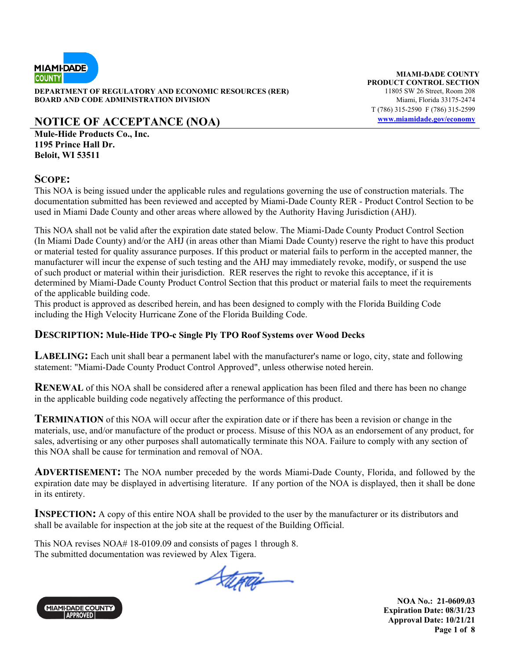

**DEPARTMENT OF REGULATORY AND ECONOMIC RESOURCES (RER)** 11805 SW 26 Street, Room 208 **BOARD AND CODE ADMINISTRATION DIVISION Miami, Florida 33175-2474** 

## **NOTICE OF ACCEPTANCE (NOA)** www.miamidade.gov/economy

**Mule-Hide Products Co., Inc. 1195 Prince Hall Dr. Beloit, WI 53511** 

#### **SCOPE:**

This NOA is being issued under the applicable rules and regulations governing the use of construction materials. The documentation submitted has been reviewed and accepted by Miami-Dade County RER - Product Control Section to be used in Miami Dade County and other areas where allowed by the Authority Having Jurisdiction (AHJ).

This NOA shall not be valid after the expiration date stated below. The Miami-Dade County Product Control Section (In Miami Dade County) and/or the AHJ (in areas other than Miami Dade County) reserve the right to have this product or material tested for quality assurance purposes. If this product or material fails to perform in the accepted manner, the manufacturer will incur the expense of such testing and the AHJ may immediately revoke, modify, or suspend the use of such product or material within their jurisdiction. RER reserves the right to revoke this acceptance, if it is determined by Miami-Dade County Product Control Section that this product or material fails to meet the requirements of the applicable building code.

This product is approved as described herein, and has been designed to comply with the Florida Building Code including the High Velocity Hurricane Zone of the Florida Building Code.

### **DESCRIPTION: Mule-Hide TPO-c Single Ply TPO Roof Systems over Wood Decks**

LABELING: Each unit shall bear a permanent label with the manufacturer's name or logo, city, state and following statement: "Miami-Dade County Product Control Approved", unless otherwise noted herein.

**RENEWAL** of this NOA shall be considered after a renewal application has been filed and there has been no change in the applicable building code negatively affecting the performance of this product.

**TERMINATION** of this NOA will occur after the expiration date or if there has been a revision or change in the materials, use, and/or manufacture of the product or process. Misuse of this NOA as an endorsement of any product, for sales, advertising or any other purposes shall automatically terminate this NOA. Failure to comply with any section of this NOA shall be cause for termination and removal of NOA.

**ADVERTISEMENT:** The NOA number preceded by the words Miami-Dade County, Florida, and followed by the expiration date may be displayed in advertising literature. If any portion of the NOA is displayed, then it shall be done in its entirety.

**INSPECTION:** A copy of this entire NOA shall be provided to the user by the manufacturer or its distributors and shall be available for inspection at the job site at the request of the Building Official.

This NOA revises NOA# 18-0109.09 and consists of pages 1 through 8. The submitted documentation was reviewed by Alex Tigera.

Stepar



**MIAMI-DADE COUNTY PRODUCT CONTROL SECTION** T (786) 315-2590 F (786) 315-2599

> **NOA No.: 21-0609.03 Expiration Date: 08/31/23 Approval Date: 10/21/21 Page 1 of 8**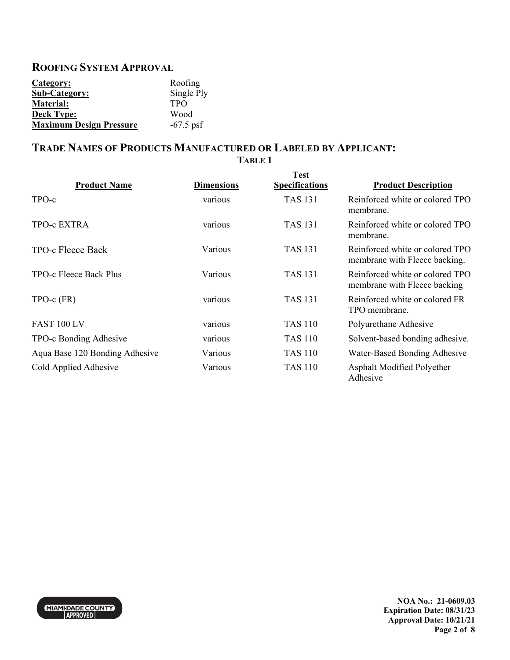# **ROOFING SYSTEM APPROVAL**

| Category:                      | Roofing     |
|--------------------------------|-------------|
| <b>Sub-Category:</b>           | Single Ply  |
| <b>Material:</b>               | <b>TPO</b>  |
| <b>Deck Type:</b>              | Wood        |
| <b>Maximum Design Pressure</b> | $-67.5$ psf |

## **TRADE NAMES OF PRODUCTS MANUFACTURED OR LABELED BY APPLICANT: TABLE 1**

| <b>Product Name</b>            | <b>Dimensions</b> | <b>Test</b><br><b>Specifications</b> | <b>Product Description</b>                                       |
|--------------------------------|-------------------|--------------------------------------|------------------------------------------------------------------|
| TPO-c                          | various           | TAS 131                              | Reinforced white or colored TPO<br>membrane.                     |
| <b>TPO-c EXTRA</b>             | various           | TAS 131                              | Reinforced white or colored TPO<br>membrane.                     |
| TPO-c Fleece Back              | Various           | <b>TAS 131</b>                       | Reinforced white or colored TPO<br>membrane with Fleece backing. |
| TPO-c Fleece Back Plus         | Various           | <b>TAS 131</b>                       | Reinforced white or colored TPO<br>membrane with Fleece backing  |
| $TPO-c$ $(FR)$                 | various           | TAS 131                              | Reinforced white or colored FR<br>TPO membrane.                  |
| FAST 100 LV                    | various           | <b>TAS 110</b>                       | Polyurethane Adhesive                                            |
| TPO-c Bonding Adhesive         | various           | <b>TAS 110</b>                       | Solvent-based bonding adhesive.                                  |
| Aqua Base 120 Bonding Adhesive | Various           | TAS 110                              | Water-Based Bonding Adhesive                                     |
| Cold Applied Adhesive          | Various           | <b>TAS 110</b>                       | Asphalt Modified Polyether<br>Adhesive                           |

MIAMI-DADE COUNTY

**NOA No.: 21-0609.03 Expiration Date: 08/31/23 Approval Date: 10/21/21 Page 2 of 8**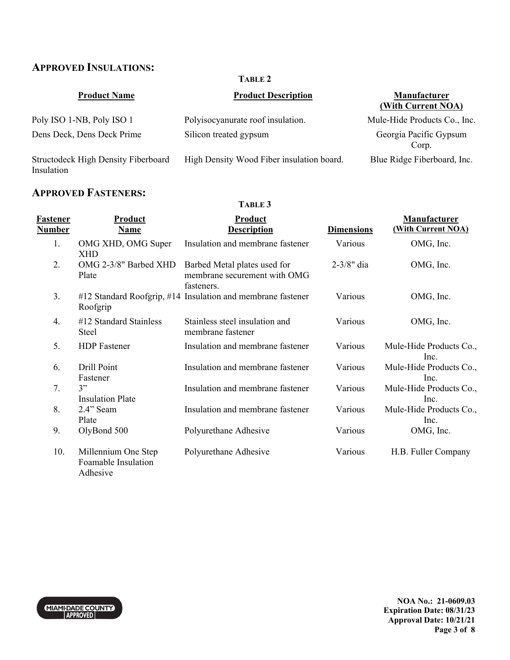# **APPROVED INSULATIONS:**

#### **TABLE 2**

| <b>Product Name</b>                               | <b>Product Description</b>                | <b>Manufacturer</b><br>(With Current NOA) |
|---------------------------------------------------|-------------------------------------------|-------------------------------------------|
| Poly ISO 1-NB, Poly ISO 1                         | Polyisocyanurate roof insulation.         | Mule-Hide Products Co., Inc.              |
| Dens Deck, Dens Deck Prime                        | Silicon treated gypsum                    | Georgia Pacific Gypsum<br>Corp.           |
| Structodeck High Density Fiberboard<br>Insulation | High Density Wood Fiber insulation board. | Blue Ridge Fiberboard, Inc.               |

## **APPROVED FASTENERS:**

## **TABLE 3**

| <b>Fastener</b><br><b>Number</b> | <b>Product</b><br><b>Name</b>                          | <b>Product</b><br><b>Description</b>                                       | <b>Dimensions</b> | <b>Manufacturer</b><br>(With Current NOA) |
|----------------------------------|--------------------------------------------------------|----------------------------------------------------------------------------|-------------------|-------------------------------------------|
| 1.                               | OMG XHD, OMG Super<br><b>XHD</b>                       | Insulation and membrane fastener                                           | Various           | OMG, Inc.                                 |
| 2.                               | OMG 2-3/8" Barbed XHD<br>Plate                         | Barbed Metal plates used for<br>membrane securement with OMG<br>fasteners. | $2 - 3/8"$ dia    | OMG, Inc.                                 |
| 3.                               | Roofgrip                                               | #12 Standard Roofgrip, #14 Insulation and membrane fastener                | Various           | OMG, Inc.                                 |
| 4.                               | #12 Standard Stainless<br>Steel                        | Stainless steel insulation and<br>membrane fastener                        | Various           | OMG, Inc.                                 |
| 5.                               | <b>HDP</b> Fastener                                    | Insulation and membrane fastener                                           | Various           | Mule-Hide Products Co.,<br>Inc.           |
| 6.                               | Drill Point<br>Fastener                                | Insulation and membrane fastener                                           | Various           | Mule-Hide Products Co.,<br>Inc.           |
| 7.                               | 3"<br><b>Insulation Plate</b>                          | Insulation and membrane fastener                                           | Various           | Mule-Hide Products Co.,<br>Inc.           |
| 8.                               | 2.4" Seam<br>Plate                                     | Insulation and membrane fastener                                           | Various           | Mule-Hide Products Co.,<br>Inc.           |
| 9.                               | OlyBond 500                                            | Polyurethane Adhesive                                                      | Various           | OMG, Inc.                                 |
| 10.                              | Millennium One Step<br>Foamable Insulation<br>Adhesive | Polyurethane Adhesive                                                      | Various           | H.B. Fuller Company                       |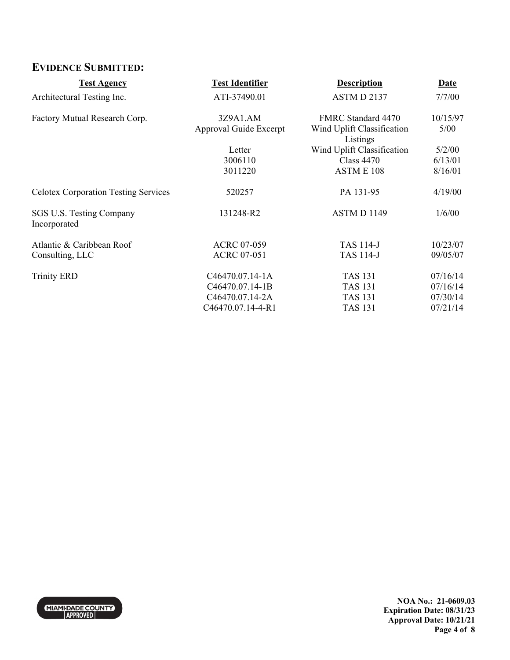# **EVIDENCE SUBMITTED:**

| <b>Test Agency</b>                          | <b>Test Identifier</b> | <b>Description</b>                     | Date     |
|---------------------------------------------|------------------------|----------------------------------------|----------|
| Architectural Testing Inc.                  | ATI-37490.01           | ASTM D 2137                            | 7/7/00   |
| Factory Mutual Research Corp.               | 3Z9A1.AM               | FMRC Standard 4470                     | 10/15/97 |
|                                             | Approval Guide Excerpt | Wind Uplift Classification<br>Listings | 5/00     |
|                                             | Letter                 | Wind Uplift Classification             | 5/2/00   |
|                                             | 3006110                | Class $4470$                           | 6/13/01  |
|                                             | 3011220                | ASTME <sub>108</sub>                   | 8/16/01  |
| <b>Celotex Corporation Testing Services</b> | 520257                 | PA 131-95                              | 4/19/00  |
| SGS U.S. Testing Company<br>Incorporated    | 131248-R2              | ASTM D 1149                            | 1/6/00   |
| Atlantic & Caribbean Roof                   | <b>ACRC 07-059</b>     | <b>TAS 114-J</b>                       | 10/23/07 |
| Consulting, LLC                             | <b>ACRC 07-051</b>     | <b>TAS 114-J</b>                       | 09/05/07 |
| <b>Trinity ERD</b>                          | C46470.07.14-1A        | <b>TAS 131</b>                         | 07/16/14 |
|                                             | C46470.07.14-1B        | <b>TAS 131</b>                         | 07/16/14 |
|                                             | C46470.07.14-2A        | TAS 131                                | 07/30/14 |
|                                             | C46470.07.14-4-R1      | <b>TAS 131</b>                         | 07/21/14 |



**NOA No.: 21-0609.03 Expiration Date: 08/31/23 Approval Date: 10/21/21 Page 4 of 8**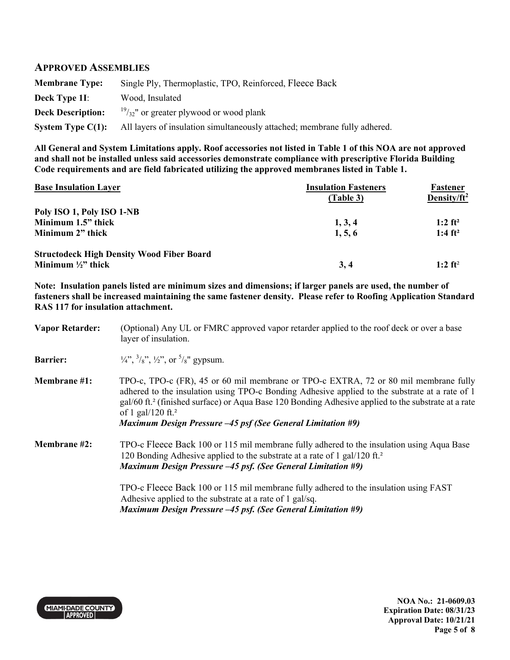### **APPROVED ASSEMBLIES**

| <b>Membrane Type:</b>    | Single Ply, Thermoplastic, TPO, Reinforced, Fleece Back                   |
|--------------------------|---------------------------------------------------------------------------|
| Deck Type 11:            | Wood, Insulated                                                           |
| <b>Deck Description:</b> | $\frac{19}{32}$ " or greater plywood or wood plank                        |
| System Type $C(1)$ :     | All layers of insulation simultaneously attached; membrane fully adhered. |

**All General and System Limitations apply. Roof accessories not listed in Table 1 of this NOA are not approved and shall not be installed unless said accessories demonstrate compliance with prescriptive Florida Building Code requirements and are field fabricated utilizing the approved membranes listed in Table 1.** 

| <b>Base Insulation Layer</b>                     | <b>Insulation Fasteners</b><br>(Table 3) | Fastener<br>Density/ $ft^2$ |  |
|--------------------------------------------------|------------------------------------------|-----------------------------|--|
| Poly ISO 1, Poly ISO 1-NB                        |                                          |                             |  |
| Minimum 1.5" thick                               | 1, 3, 4                                  | $1:2$ ft <sup>2</sup>       |  |
| Minimum 2" thick                                 | 1, 5, 6                                  | 1:4 $ft^2$                  |  |
| <b>Structodeck High Density Wood Fiber Board</b> |                                          |                             |  |
| Minimum $\frac{1}{2}$ thick                      | 3,4                                      | $1:2$ ft <sup>2</sup>       |  |

**Note: Insulation panels listed are minimum sizes and dimensions; if larger panels are used, the number of fasteners shall be increased maintaining the same fastener density. Please refer to Roofing Application Standard RAS 117 for insulation attachment.** 

| <b>Vapor Retarder:</b> | (Optional) Any UL or FMRC approved vapor retarder applied to the roof deck or over a base<br>layer of insulation.                                                                                                                                                                                                                                                                                           |
|------------------------|-------------------------------------------------------------------------------------------------------------------------------------------------------------------------------------------------------------------------------------------------------------------------------------------------------------------------------------------------------------------------------------------------------------|
| <b>Barrier:</b>        | $\frac{1}{4}$ , $\frac{3}{8}$ , $\frac{1}{2}$ , $\frac{1}{2}$ , or $\frac{5}{8}$ gypsum.                                                                                                                                                                                                                                                                                                                    |
| <b>Membrane</b> #1:    | TPO-c, TPO-c (FR), 45 or 60 mil membrane or TPO-c EXTRA, 72 or 80 mil membrane fully<br>adhered to the insulation using TPO-c Bonding Adhesive applied to the substrate at a rate of 1<br>gal/60 ft. <sup>2</sup> (finished surface) or Aqua Base 120 Bonding Adhesive applied to the substrate at a rate<br>of 1 gal/120 ft. <sup>2</sup><br>Maximum Design Pressure $-45$ psf (See General Limitation #9) |
| Membrane #2:           | TPO-c Fleece Back 100 or 115 mil membrane fully adhered to the insulation using Aqua Base<br>120 Bonding Adhesive applied to the substrate at a rate of 1 gal/120 ft. <sup>2</sup><br><b>Maximum Design Pressure -45 psf. (See General Limitation #9)</b>                                                                                                                                                   |
|                        | TPO-c Fleece Back 100 or 115 mil membrane fully adhered to the insulation using FAST<br>Adhesive applied to the substrate at a rate of 1 gal/sq.<br><b>Maximum Design Pressure -45 psf. (See General Limitation #9)</b>                                                                                                                                                                                     |



**NOA No.: 21-0609.03 Expiration Date: 08/31/23 Approval Date: 10/21/21 Page 5 of 8**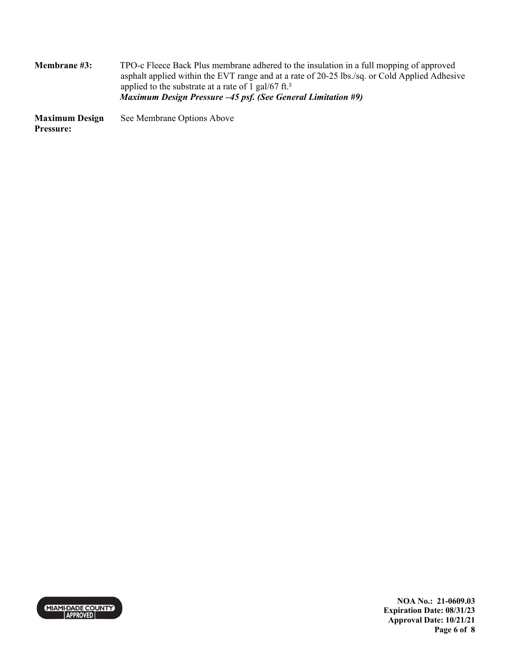**Membrane #3:** TPO-c Fleece Back Plus membrane adhered to the insulation in a full mopping of approved asphalt applied within the EVT range and at a rate of 20-25 lbs./sq. or Cold Applied Adhesive applied to the substrate at a rate of 1 gal/67 ft.<sup>2</sup> *Maximum Design Pressure –45 psf. (See General Limitation #9)*

**Maximum Design Pressure:** See Membrane Options Above



**NOA No.: 21-0609.03 Expiration Date: 08/31/23 Approval Date: 10/21/21 Page 6 of 8**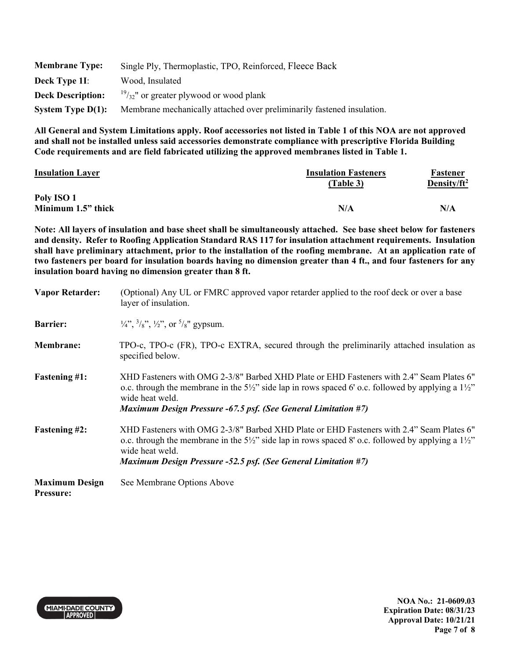| <b>Membrane Type:</b>    | Single Ply, Thermoplastic, TPO, Reinforced, Fleece Back                |  |
|--------------------------|------------------------------------------------------------------------|--|
| Deck Type 11:            | Wood, Insulated                                                        |  |
| <b>Deck Description:</b> | $\frac{19}{32}$ " or greater plywood or wood plank                     |  |
| System Type $D(1)$ :     | Membrane mechanically attached over preliminarily fastened insulation. |  |

**All General and System Limitations apply. Roof accessories not listed in Table 1 of this NOA are not approved and shall not be installed unless said accessories demonstrate compliance with prescriptive Florida Building Code requirements and are field fabricated utilizing the approved membranes listed in Table 1.** 

| <b>Insulation Layer</b> | <b>Insulation Fasteners</b><br>(Table 3) | Fastener<br>Density/ft <sup>2</sup> |  |
|-------------------------|------------------------------------------|-------------------------------------|--|
| Poly ISO 1              |                                          |                                     |  |
| Minimum 1.5" thick      | N/A                                      | N/A                                 |  |

**Note: All layers of insulation and base sheet shall be simultaneously attached. See base sheet below for fasteners and density. Refer to Roofing Application Standard RAS 117 for insulation attachment requirements. Insulation shall have preliminary attachment, prior to the installation of the roofing membrane. At an application rate of two fasteners per board for insulation boards having no dimension greater than 4 ft., and four fasteners for any insulation board having no dimension greater than 8 ft.**

| <b>Vapor Retarder:</b>                    | (Optional) Any UL or FMRC approved vapor retarder applied to the roof deck or over a base<br>layer of insulation.                                                                                                                                                                                             |
|-------------------------------------------|---------------------------------------------------------------------------------------------------------------------------------------------------------------------------------------------------------------------------------------------------------------------------------------------------------------|
| <b>Barrier:</b>                           | $\frac{1}{4}$ , $\frac{3}{8}$ , $\frac{1}{2}$ , $\frac{1}{2}$ , or $\frac{5}{8}$ gypsum.                                                                                                                                                                                                                      |
| <b>Membrane:</b>                          | TPO-c, TPO-c (FR), TPO-c EXTRA, secured through the preliminarily attached insulation as<br>specified below.                                                                                                                                                                                                  |
| <b>Fastening #1:</b>                      | "XHD Fasteners with OMG 2-3/8" Barbed XHD Plate or EHD Fasteners with 2.4" Seam Plates 6<br>o.c. through the membrane in the $5\frac{1}{2}$ side lap in rows spaced 6' o.c. followed by applying a $1\frac{1}{2}$<br>wide heat weld.<br><b>Maximum Design Pressure -67.5 psf. (See General Limitation #7)</b> |
| <b>Fastening #2:</b>                      | XHD Fasteners with OMG 2-3/8" Barbed XHD Plate or EHD Fasteners with 2.4" Seam Plates 6"<br>o.c. through the membrane in the $5\frac{1}{2}$ side lap in rows spaced 8' o.c. followed by applying a $1\frac{1}{2}$<br>wide heat weld.<br><b>Maximum Design Pressure -52.5 psf. (See General Limitation #7)</b> |
| <b>Maximum Design</b><br><b>Pressure:</b> | See Membrane Options Above                                                                                                                                                                                                                                                                                    |



**NOA No.: 21-0609.03 Expiration Date: 08/31/23 Approval Date: 10/21/21 Page 7 of 8**